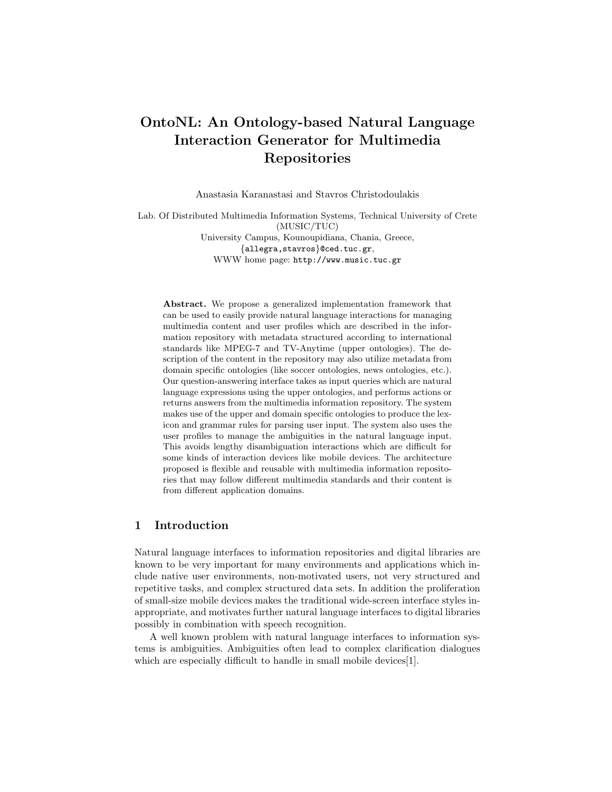# OntoNL: An Ontology-based Natural Language Interaction Generator for Multimedia Repositories

Anastasia Karanastasi and Stavros Christodoulakis

Lab. Of Distributed Multimedia Information Systems, Technical University of Crete (MUSIC/TUC)

University Campus, Kounoupidiana, Chania, Greece, {allegra,stavros}@ced.tuc.gr, WWW home page: http://www.music.tuc.gr

Abstract. We propose a generalized implementation framework that can be used to easily provide natural language interactions for managing multimedia content and user profiles which are described in the information repository with metadata structured according to international standards like MPEG-7 and TV-Anytime (upper ontologies). The description of the content in the repository may also utilize metadata from domain specific ontologies (like soccer ontologies, news ontologies, etc.). Our question-answering interface takes as input queries which are natural language expressions using the upper ontologies, and performs actions or returns answers from the multimedia information repository. The system makes use of the upper and domain specific ontologies to produce the lexicon and grammar rules for parsing user input. The system also uses the user profiles to manage the ambiguities in the natural language input. This avoids lengthy disambiguation interactions which are difficult for some kinds of interaction devices like mobile devices. The architecture proposed is flexible and reusable with multimedia information repositories that may follow different multimedia standards and their content is from different application domains.

#### 1 Introduction

Natural language interfaces to information repositories and digital libraries are known to be very important for many environments and applications which include native user environments, non-motivated users, not very structured and repetitive tasks, and complex structured data sets. In addition the proliferation of small-size mobile devices makes the traditional wide-screen interface styles inappropriate, and motivates further natural language interfaces to digital libraries possibly in combination with speech recognition.

A well known problem with natural language interfaces to information systems is ambiguities. Ambiguities often lead to complex clarification dialogues which are especially difficult to handle in small mobile devices [1].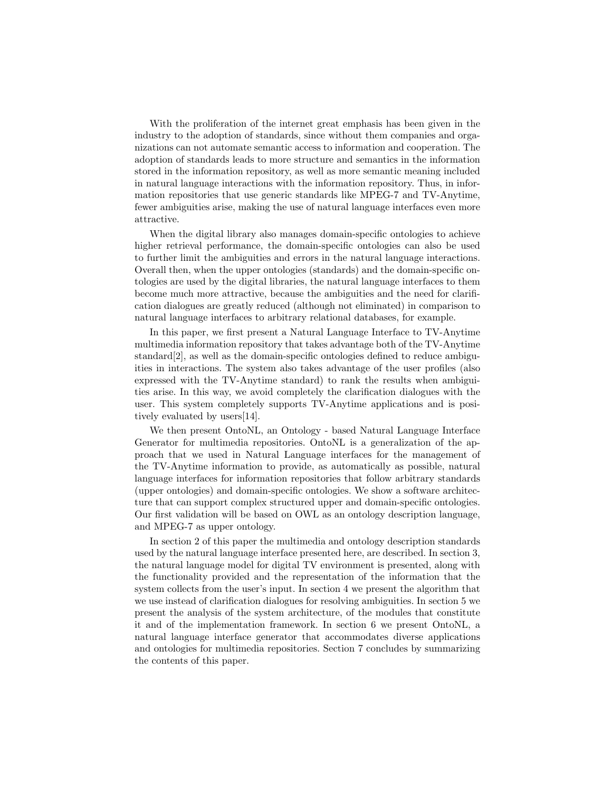With the proliferation of the internet great emphasis has been given in the industry to the adoption of standards, since without them companies and organizations can not automate semantic access to information and cooperation. The adoption of standards leads to more structure and semantics in the information stored in the information repository, as well as more semantic meaning included in natural language interactions with the information repository. Thus, in information repositories that use generic standards like MPEG-7 and TV-Anytime, fewer ambiguities arise, making the use of natural language interfaces even more attractive.

When the digital library also manages domain-specific ontologies to achieve higher retrieval performance, the domain-specific ontologies can also be used to further limit the ambiguities and errors in the natural language interactions. Overall then, when the upper ontologies (standards) and the domain-specific ontologies are used by the digital libraries, the natural language interfaces to them become much more attractive, because the ambiguities and the need for clarification dialogues are greatly reduced (although not eliminated) in comparison to natural language interfaces to arbitrary relational databases, for example.

In this paper, we first present a Natural Language Interface to TV-Anytime multimedia information repository that takes advantage both of the TV-Anytime standard[2], as well as the domain-specific ontologies defined to reduce ambiguities in interactions. The system also takes advantage of the user profiles (also expressed with the TV-Anytime standard) to rank the results when ambiguities arise. In this way, we avoid completely the clarification dialogues with the user. This system completely supports TV-Anytime applications and is positively evaluated by users[14].

We then present OntoNL, an Ontology - based Natural Language Interface Generator for multimedia repositories. OntoNL is a generalization of the approach that we used in Natural Language interfaces for the management of the TV-Anytime information to provide, as automatically as possible, natural language interfaces for information repositories that follow arbitrary standards (upper ontologies) and domain-specific ontologies. We show a software architecture that can support complex structured upper and domain-specific ontologies. Our first validation will be based on OWL as an ontology description language, and MPEG-7 as upper ontology.

In section 2 of this paper the multimedia and ontology description standards used by the natural language interface presented here, are described. In section 3, the natural language model for digital TV environment is presented, along with the functionality provided and the representation of the information that the system collects from the user's input. In section 4 we present the algorithm that we use instead of clarification dialogues for resolving ambiguities. In section 5 we present the analysis of the system architecture, of the modules that constitute it and of the implementation framework. In section 6 we present OntoNL, a natural language interface generator that accommodates diverse applications and ontologies for multimedia repositories. Section 7 concludes by summarizing the contents of this paper.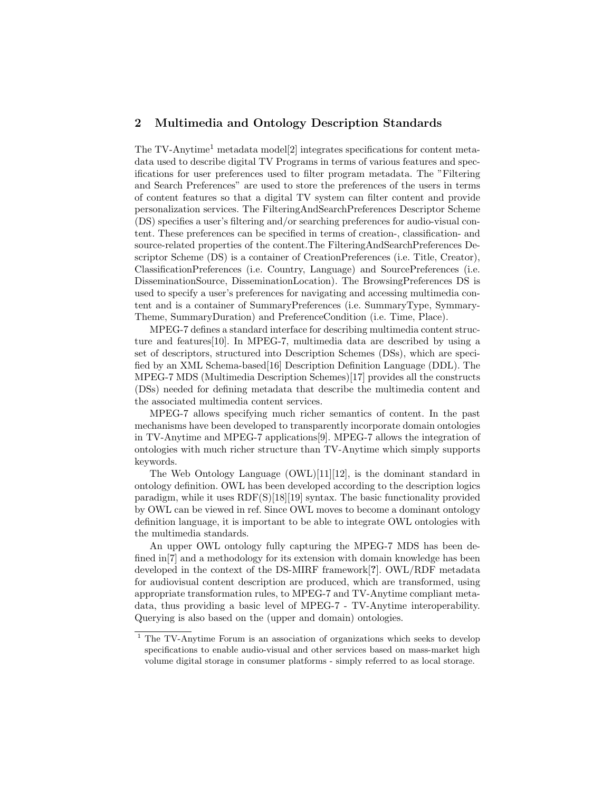#### 2 Multimedia and Ontology Description Standards

The TV-Anytime<sup>1</sup> metadata model<sup>[2]</sup> integrates specifications for content metadata used to describe digital TV Programs in terms of various features and specifications for user preferences used to filter program metadata. The "Filtering and Search Preferences" are used to store the preferences of the users in terms of content features so that a digital TV system can filter content and provide personalization services. The FilteringAndSearchPreferences Descriptor Scheme (DS) specifies a user's filtering and/or searching preferences for audio-visual content. These preferences can be specified in terms of creation-, classification- and source-related properties of the content.The FilteringAndSearchPreferences Descriptor Scheme (DS) is a container of CreationPreferences (i.e. Title, Creator), ClassificationPreferences (i.e. Country, Language) and SourcePreferences (i.e. DisseminationSource, DisseminationLocation). The BrowsingPreferences DS is used to specify a user's preferences for navigating and accessing multimedia content and is a container of SummaryPreferences (i.e. SummaryType, Symmary-Theme, SummaryDuration) and PreferenceCondition (i.e. Time, Place).

MPEG-7 defines a standard interface for describing multimedia content structure and features[10]. In MPEG-7, multimedia data are described by using a set of descriptors, structured into Description Schemes (DSs), which are specified by an XML Schema-based[16] Description Definition Language (DDL). The MPEG-7 MDS (Multimedia Description Schemes)[17] provides all the constructs (DSs) needed for defining metadata that describe the multimedia content and the associated multimedia content services.

MPEG-7 allows specifying much richer semantics of content. In the past mechanisms have been developed to transparently incorporate domain ontologies in TV-Anytime and MPEG-7 applications[9]. MPEG-7 allows the integration of ontologies with much richer structure than TV-Anytime which simply supports keywords.

The Web Ontology Language (OWL)[11][12], is the dominant standard in ontology definition. OWL has been developed according to the description logics paradigm, while it uses  $RDF(S)[18][19]$  syntax. The basic functionality provided by OWL can be viewed in ref. Since OWL moves to become a dominant ontology definition language, it is important to be able to integrate OWL ontologies with the multimedia standards.

An upper OWL ontology fully capturing the MPEG-7 MDS has been defined in[7] and a methodology for its extension with domain knowledge has been developed in the context of the DS-MIRF framework[?]. OWL/RDF metadata for audiovisual content description are produced, which are transformed, using appropriate transformation rules, to MPEG-7 and TV-Anytime compliant metadata, thus providing a basic level of MPEG-7 - TV-Anytime interoperability. Querying is also based on the (upper and domain) ontologies.

<sup>&</sup>lt;sup>1</sup> The TV-Anytime Forum is an association of organizations which seeks to develop specifications to enable audio-visual and other services based on mass-market high volume digital storage in consumer platforms - simply referred to as local storage.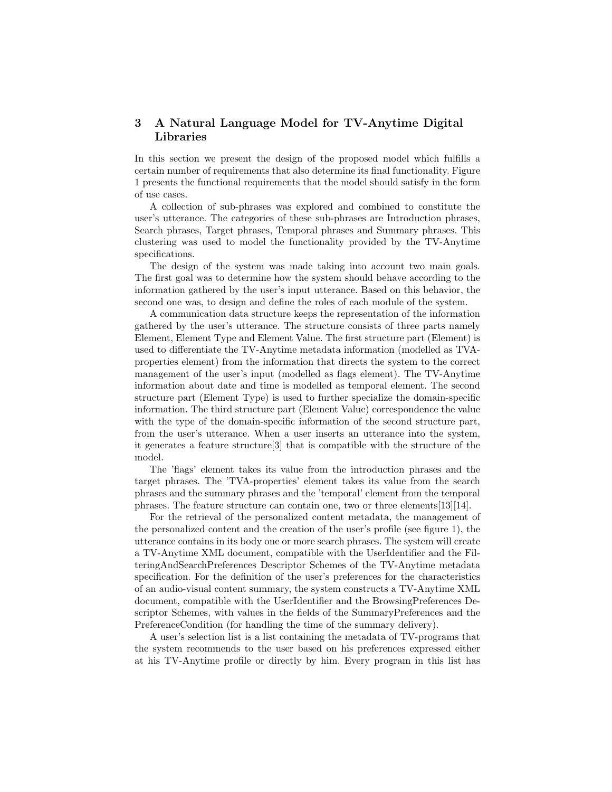## 3 A Natural Language Model for TV-Anytime Digital Libraries

In this section we present the design of the proposed model which fulfills a certain number of requirements that also determine its final functionality. Figure 1 presents the functional requirements that the model should satisfy in the form of use cases.

A collection of sub-phrases was explored and combined to constitute the user's utterance. The categories of these sub-phrases are Introduction phrases, Search phrases, Target phrases, Temporal phrases and Summary phrases. This clustering was used to model the functionality provided by the TV-Anytime specifications.

The design of the system was made taking into account two main goals. The first goal was to determine how the system should behave according to the information gathered by the user's input utterance. Based on this behavior, the second one was, to design and define the roles of each module of the system.

A communication data structure keeps the representation of the information gathered by the user's utterance. The structure consists of three parts namely Element, Element Type and Element Value. The first structure part (Element) is used to differentiate the TV-Anytime metadata information (modelled as TVAproperties element) from the information that directs the system to the correct management of the user's input (modelled as flags element). The TV-Anytime information about date and time is modelled as temporal element. The second structure part (Element Type) is used to further specialize the domain-specific information. The third structure part (Element Value) correspondence the value with the type of the domain-specific information of the second structure part, from the user's utterance. When a user inserts an utterance into the system, it generates a feature structure[3] that is compatible with the structure of the model.

The 'flags' element takes its value from the introduction phrases and the target phrases. The 'TVA-properties' element takes its value from the search phrases and the summary phrases and the 'temporal' element from the temporal phrases. The feature structure can contain one, two or three elements[13][14].

For the retrieval of the personalized content metadata, the management of the personalized content and the creation of the user's profile (see figure 1), the utterance contains in its body one or more search phrases. The system will create a TV-Anytime XML document, compatible with the UserIdentifier and the FilteringAndSearchPreferences Descriptor Schemes of the TV-Anytime metadata specification. For the definition of the user's preferences for the characteristics of an audio-visual content summary, the system constructs a TV-Anytime XML document, compatible with the UserIdentifier and the BrowsingPreferences Descriptor Schemes, with values in the fields of the SummaryPreferences and the PreferenceCondition (for handling the time of the summary delivery).

A user's selection list is a list containing the metadata of TV-programs that the system recommends to the user based on his preferences expressed either at his TV-Anytime profile or directly by him. Every program in this list has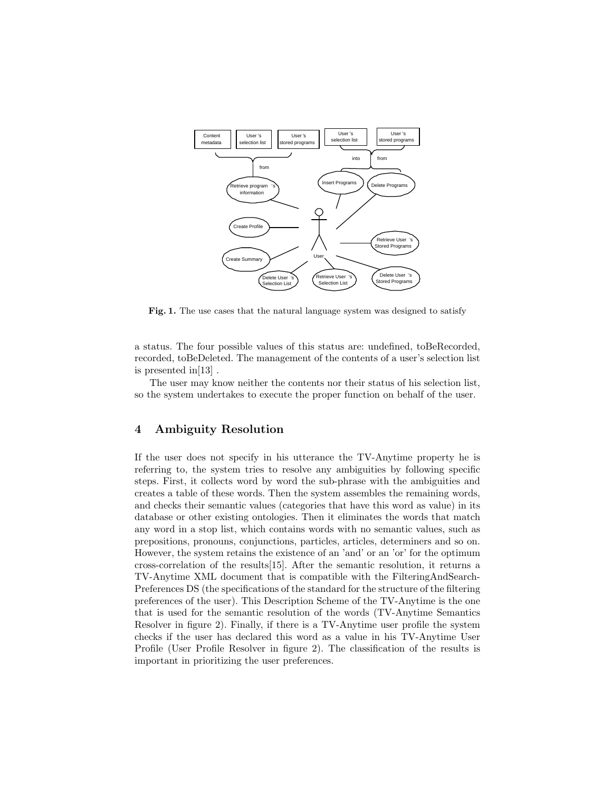

Fig. 1. The use cases that the natural language system was designed to satisfy

a status. The four possible values of this status are: undefined, toBeRecorded, recorded, toBeDeleted. The management of the contents of a user's selection list is presented in[13] .

The user may know neither the contents nor their status of his selection list, so the system undertakes to execute the proper function on behalf of the user.

#### 4 Ambiguity Resolution

If the user does not specify in his utterance the TV-Anytime property he is referring to, the system tries to resolve any ambiguities by following specific steps. First, it collects word by word the sub-phrase with the ambiguities and creates a table of these words. Then the system assembles the remaining words, and checks their semantic values (categories that have this word as value) in its database or other existing ontologies. Then it eliminates the words that match any word in a stop list, which contains words with no semantic values, such as prepositions, pronouns, conjunctions, particles, articles, determiners and so on. However, the system retains the existence of an 'and' or an 'or' for the optimum cross-correlation of the results[15]. After the semantic resolution, it returns a TV-Anytime XML document that is compatible with the FilteringAndSearch-Preferences DS (the specifications of the standard for the structure of the filtering preferences of the user). This Description Scheme of the TV-Anytime is the one that is used for the semantic resolution of the words (TV-Anytime Semantics Resolver in figure 2). Finally, if there is a TV-Anytime user profile the system checks if the user has declared this word as a value in his TV-Anytime User Profile (User Profile Resolver in figure 2). The classification of the results is important in prioritizing the user preferences.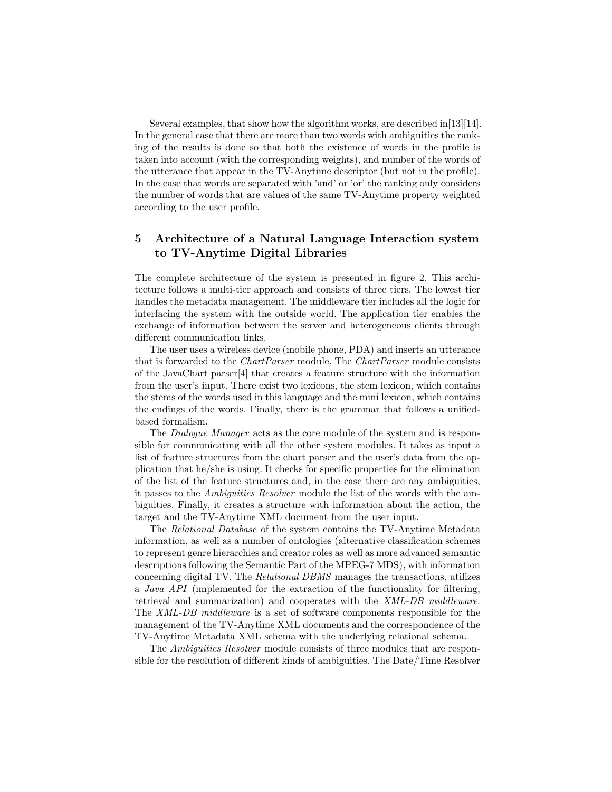Several examples, that show how the algorithm works, are described in[13][14]. In the general case that there are more than two words with ambiguities the ranking of the results is done so that both the existence of words in the profile is taken into account (with the corresponding weights), and number of the words of the utterance that appear in the TV-Anytime descriptor (but not in the profile). In the case that words are separated with 'and' or 'or' the ranking only considers the number of words that are values of the same TV-Anytime property weighted according to the user profile.

### 5 Architecture of a Natural Language Interaction system to TV-Anytime Digital Libraries

The complete architecture of the system is presented in figure 2. This architecture follows a multi-tier approach and consists of three tiers. The lowest tier handles the metadata management. The middleware tier includes all the logic for interfacing the system with the outside world. The application tier enables the exchange of information between the server and heterogeneous clients through different communication links.

The user uses a wireless device (mobile phone, PDA) and inserts an utterance that is forwarded to the ChartParser module. The ChartParser module consists of the JavaChart parser[4] that creates a feature structure with the information from the user's input. There exist two lexicons, the stem lexicon, which contains the stems of the words used in this language and the mini lexicon, which contains the endings of the words. Finally, there is the grammar that follows a unifiedbased formalism.

The Dialogue Manager acts as the core module of the system and is responsible for communicating with all the other system modules. It takes as input a list of feature structures from the chart parser and the user's data from the application that he/she is using. It checks for specific properties for the elimination of the list of the feature structures and, in the case there are any ambiguities, it passes to the Ambiguities Resolver module the list of the words with the ambiguities. Finally, it creates a structure with information about the action, the target and the TV-Anytime XML document from the user input.

The Relational Database of the system contains the TV-Anytime Metadata information, as well as a number of ontologies (alternative classification schemes to represent genre hierarchies and creator roles as well as more advanced semantic descriptions following the Semantic Part of the MPEG-7 MDS), with information concerning digital TV. The Relational DBMS manages the transactions, utilizes a Java API (implemented for the extraction of the functionality for filtering, retrieval and summarization) and cooperates with the XML-DB middleware. The XML-DB middleware is a set of software components responsible for the management of the TV-Anytime XML documents and the correspondence of the TV-Anytime Metadata XML schema with the underlying relational schema.

The Ambiguities Resolver module consists of three modules that are responsible for the resolution of different kinds of ambiguities. The Date/Time Resolver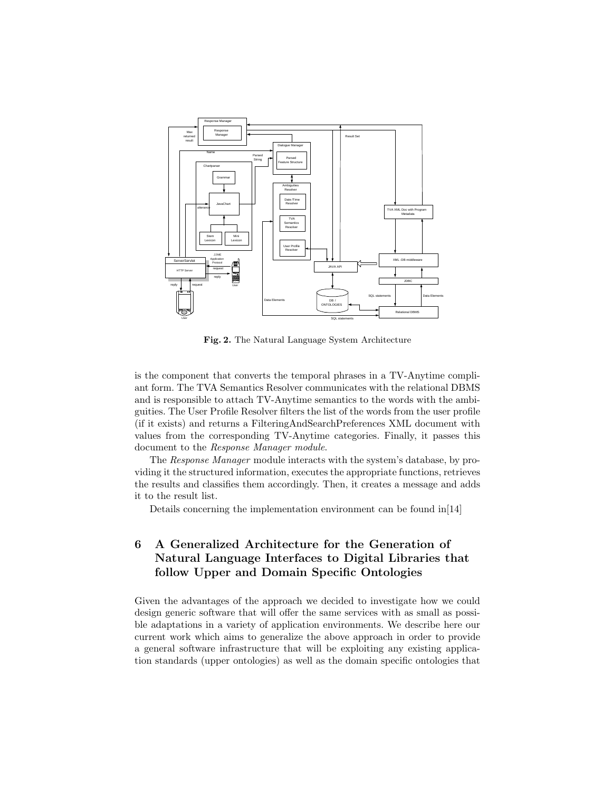

Fig. 2. The Natural Language System Architecture

is the component that converts the temporal phrases in a TV-Anytime compliant form. The TVA Semantics Resolver communicates with the relational DBMS and is responsible to attach TV-Anytime semantics to the words with the ambiguities. The User Profile Resolver filters the list of the words from the user profile (if it exists) and returns a FilteringAndSearchPreferences XML document with values from the corresponding TV-Anytime categories. Finally, it passes this document to the Response Manager module.

The Response Manager module interacts with the system's database, by providing it the structured information, executes the appropriate functions, retrieves the results and classifies them accordingly. Then, it creates a message and adds it to the result list.

Details concerning the implementation environment can be found in[14]

# 6 A Generalized Architecture for the Generation of Natural Language Interfaces to Digital Libraries that follow Upper and Domain Specific Ontologies

Given the advantages of the approach we decided to investigate how we could design generic software that will offer the same services with as small as possible adaptations in a variety of application environments. We describe here our current work which aims to generalize the above approach in order to provide a general software infrastructure that will be exploiting any existing application standards (upper ontologies) as well as the domain specific ontologies that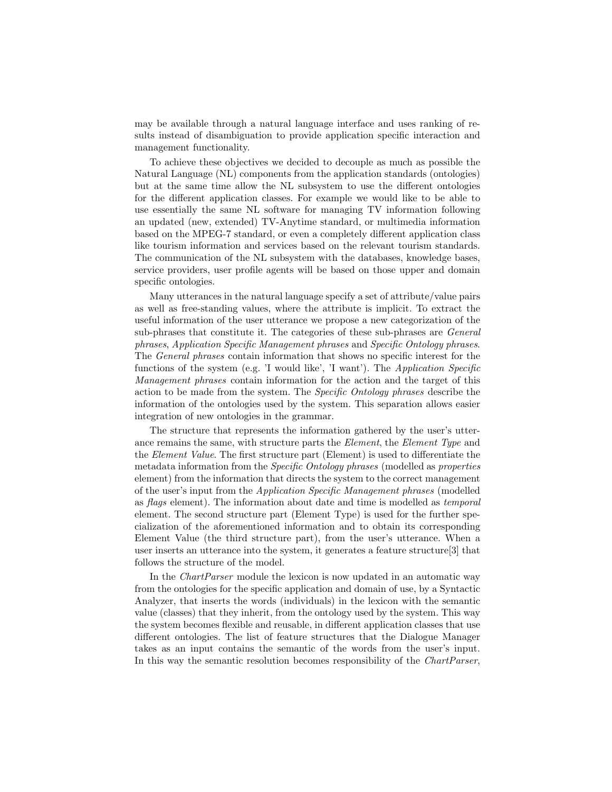may be available through a natural language interface and uses ranking of results instead of disambiguation to provide application specific interaction and management functionality.

To achieve these objectives we decided to decouple as much as possible the Natural Language (NL) components from the application standards (ontologies) but at the same time allow the NL subsystem to use the different ontologies for the different application classes. For example we would like to be able to use essentially the same NL software for managing TV information following an updated (new, extended) TV-Anytime standard, or multimedia information based on the MPEG-7 standard, or even a completely different application class like tourism information and services based on the relevant tourism standards. The communication of the NL subsystem with the databases, knowledge bases, service providers, user profile agents will be based on those upper and domain specific ontologies.

Many utterances in the natural language specify a set of attribute/value pairs as well as free-standing values, where the attribute is implicit. To extract the useful information of the user utterance we propose a new categorization of the sub-phrases that constitute it. The categories of these sub-phrases are General phrases, Application Specific Management phrases and Specific Ontology phrases. The General phrases contain information that shows no specific interest for the functions of the system (e.g. 'I would like', 'I want'). The Application Specific Management phrases contain information for the action and the target of this action to be made from the system. The Specific Ontology phrases describe the information of the ontologies used by the system. This separation allows easier integration of new ontologies in the grammar.

The structure that represents the information gathered by the user's utterance remains the same, with structure parts the *Element*, the *Element Type* and the Element Value. The first structure part (Element) is used to differentiate the metadata information from the Specific Ontology phrases (modelled as properties element) from the information that directs the system to the correct management of the user's input from the Application Specific Management phrases (modelled as flags element). The information about date and time is modelled as temporal element. The second structure part (Element Type) is used for the further specialization of the aforementioned information and to obtain its corresponding Element Value (the third structure part), from the user's utterance. When a user inserts an utterance into the system, it generates a feature structure[3] that follows the structure of the model.

In the ChartParser module the lexicon is now updated in an automatic way from the ontologies for the specific application and domain of use, by a Syntactic Analyzer, that inserts the words (individuals) in the lexicon with the semantic value (classes) that they inherit, from the ontology used by the system. This way the system becomes flexible and reusable, in different application classes that use different ontologies. The list of feature structures that the Dialogue Manager takes as an input contains the semantic of the words from the user's input. In this way the semantic resolution becomes responsibility of the ChartParser,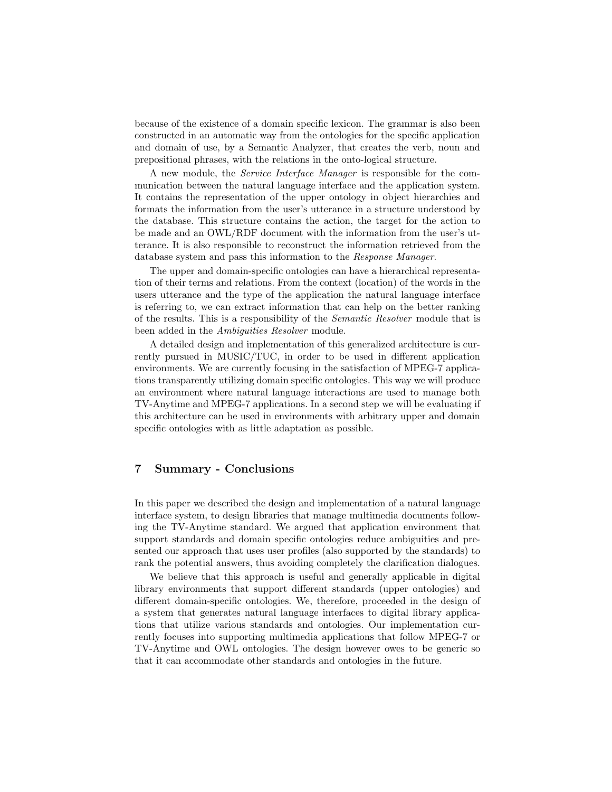because of the existence of a domain specific lexicon. The grammar is also been constructed in an automatic way from the ontologies for the specific application and domain of use, by a Semantic Analyzer, that creates the verb, noun and prepositional phrases, with the relations in the onto-logical structure.

A new module, the Service Interface Manager is responsible for the communication between the natural language interface and the application system. It contains the representation of the upper ontology in object hierarchies and formats the information from the user's utterance in a structure understood by the database. This structure contains the action, the target for the action to be made and an OWL/RDF document with the information from the user's utterance. It is also responsible to reconstruct the information retrieved from the database system and pass this information to the Response Manager.

The upper and domain-specific ontologies can have a hierarchical representation of their terms and relations. From the context (location) of the words in the users utterance and the type of the application the natural language interface is referring to, we can extract information that can help on the better ranking of the results. This is a responsibility of the Semantic Resolver module that is been added in the Ambiguities Resolver module.

A detailed design and implementation of this generalized architecture is currently pursued in MUSIC/TUC, in order to be used in different application environments. We are currently focusing in the satisfaction of MPEG-7 applications transparently utilizing domain specific ontologies. This way we will produce an environment where natural language interactions are used to manage both TV-Anytime and MPEG-7 applications. In a second step we will be evaluating if this architecture can be used in environments with arbitrary upper and domain specific ontologies with as little adaptation as possible.

#### 7 Summary - Conclusions

In this paper we described the design and implementation of a natural language interface system, to design libraries that manage multimedia documents following the TV-Anytime standard. We argued that application environment that support standards and domain specific ontologies reduce ambiguities and presented our approach that uses user profiles (also supported by the standards) to rank the potential answers, thus avoiding completely the clarification dialogues.

We believe that this approach is useful and generally applicable in digital library environments that support different standards (upper ontologies) and different domain-specific ontologies. We, therefore, proceeded in the design of a system that generates natural language interfaces to digital library applications that utilize various standards and ontologies. Our implementation currently focuses into supporting multimedia applications that follow MPEG-7 or TV-Anytime and OWL ontologies. The design however owes to be generic so that it can accommodate other standards and ontologies in the future.